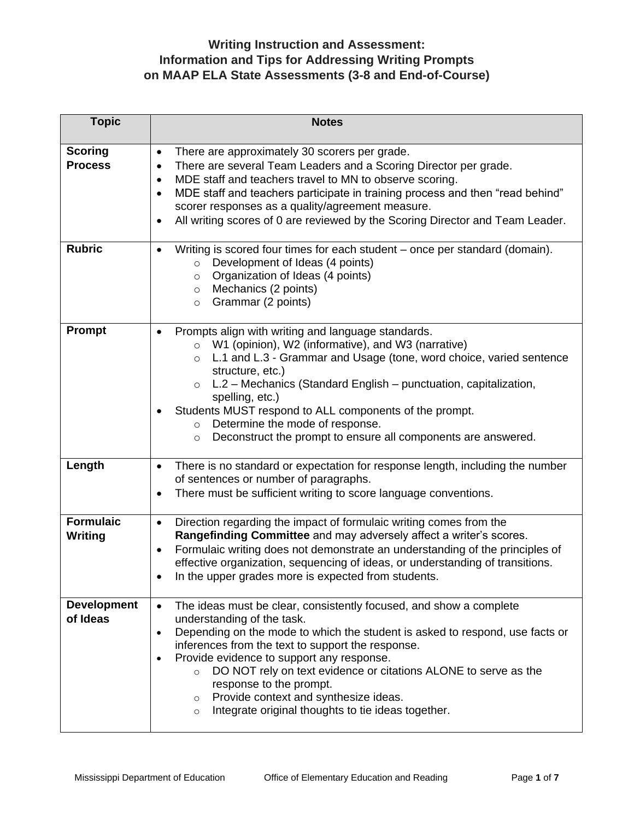| <b>Topic</b>                       | <b>Notes</b>                                                                                                                                                                                                                                                                                                                                                                                                                                                                                                                                            |  |  |  |
|------------------------------------|---------------------------------------------------------------------------------------------------------------------------------------------------------------------------------------------------------------------------------------------------------------------------------------------------------------------------------------------------------------------------------------------------------------------------------------------------------------------------------------------------------------------------------------------------------|--|--|--|
| <b>Scoring</b><br><b>Process</b>   | There are approximately 30 scorers per grade.<br>$\bullet$<br>There are several Team Leaders and a Scoring Director per grade.<br>$\bullet$<br>MDE staff and teachers travel to MN to observe scoring.<br>$\bullet$<br>MDE staff and teachers participate in training process and then "read behind"<br>$\bullet$<br>scorer responses as a quality/agreement measure.<br>All writing scores of 0 are reviewed by the Scoring Director and Team Leader.<br>$\bullet$                                                                                     |  |  |  |
| <b>Rubric</b>                      | Writing is scored four times for each student – once per standard (domain).<br>$\bullet$<br>Development of Ideas (4 points)<br>$\circ$<br>Organization of Ideas (4 points)<br>$\circ$<br>Mechanics (2 points)<br>$\circ$<br>Grammar (2 points)<br>$\circ$                                                                                                                                                                                                                                                                                               |  |  |  |
| Prompt                             | Prompts align with writing and language standards.<br>W1 (opinion), W2 (informative), and W3 (narrative)<br>$\circ$<br>L.1 and L.3 - Grammar and Usage (tone, word choice, varied sentence<br>$\circ$<br>structure, etc.)<br>L.2 - Mechanics (Standard English - punctuation, capitalization,<br>spelling, etc.)<br>Students MUST respond to ALL components of the prompt.<br>Determine the mode of response.<br>$\circ$<br>Deconstruct the prompt to ensure all components are answered.<br>$\circ$                                                    |  |  |  |
| Length                             | There is no standard or expectation for response length, including the number<br>$\bullet$<br>of sentences or number of paragraphs.<br>There must be sufficient writing to score language conventions.<br>٠                                                                                                                                                                                                                                                                                                                                             |  |  |  |
| <b>Formulaic</b><br><b>Writing</b> | Direction regarding the impact of formulaic writing comes from the<br>$\bullet$<br>Rangefinding Committee and may adversely affect a writer's scores.<br>Formulaic writing does not demonstrate an understanding of the principles of<br>$\bullet$<br>effective organization, sequencing of ideas, or understanding of transitions.<br>In the upper grades more is expected from students.                                                                                                                                                              |  |  |  |
| <b>Development</b><br>of Ideas     | The ideas must be clear, consistently focused, and show a complete<br>$\bullet$<br>understanding of the task.<br>Depending on the mode to which the student is asked to respond, use facts or<br>$\bullet$<br>inferences from the text to support the response.<br>Provide evidence to support any response.<br>$\bullet$<br>DO NOT rely on text evidence or citations ALONE to serve as the<br>$\circ$<br>response to the prompt.<br>Provide context and synthesize ideas.<br>$\circ$<br>Integrate original thoughts to tie ideas together.<br>$\circ$ |  |  |  |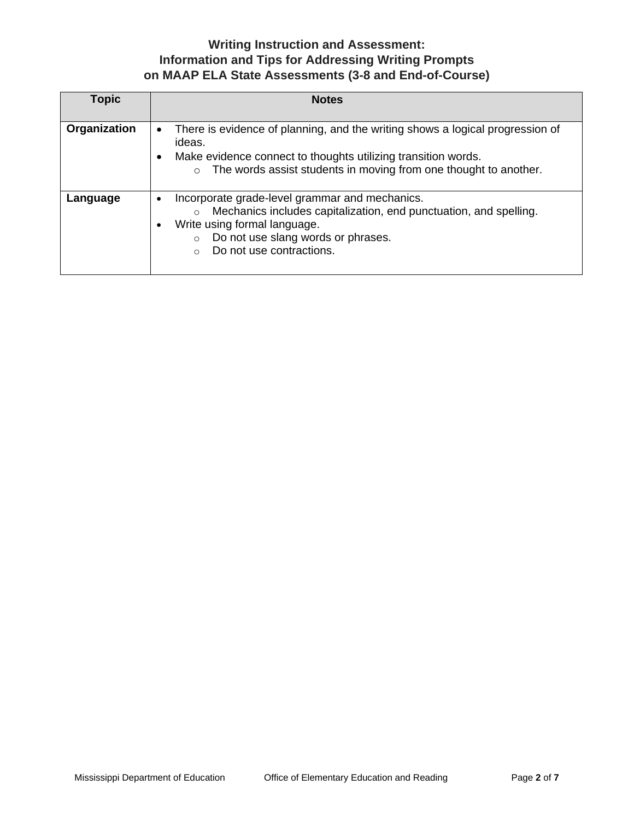| <b>Topic</b> | <b>Notes</b>                                                                                                                                                                                                                                                                |  |  |  |
|--------------|-----------------------------------------------------------------------------------------------------------------------------------------------------------------------------------------------------------------------------------------------------------------------------|--|--|--|
| Organization | There is evidence of planning, and the writing shows a logical progression of<br>$\bullet$                                                                                                                                                                                  |  |  |  |
|              | ideas.<br>Make evidence connect to thoughts utilizing transition words.<br>$\bullet$                                                                                                                                                                                        |  |  |  |
|              | o The words assist students in moving from one thought to another.                                                                                                                                                                                                          |  |  |  |
| Language     | Incorporate grade-level grammar and mechanics.<br>$\bullet$<br>Mechanics includes capitalization, end punctuation, and spelling.<br>$\circ$<br>Write using formal language.<br>٠<br>Do not use slang words or phrases.<br>$\circ$<br>Do not use contractions.<br>$\bigcirc$ |  |  |  |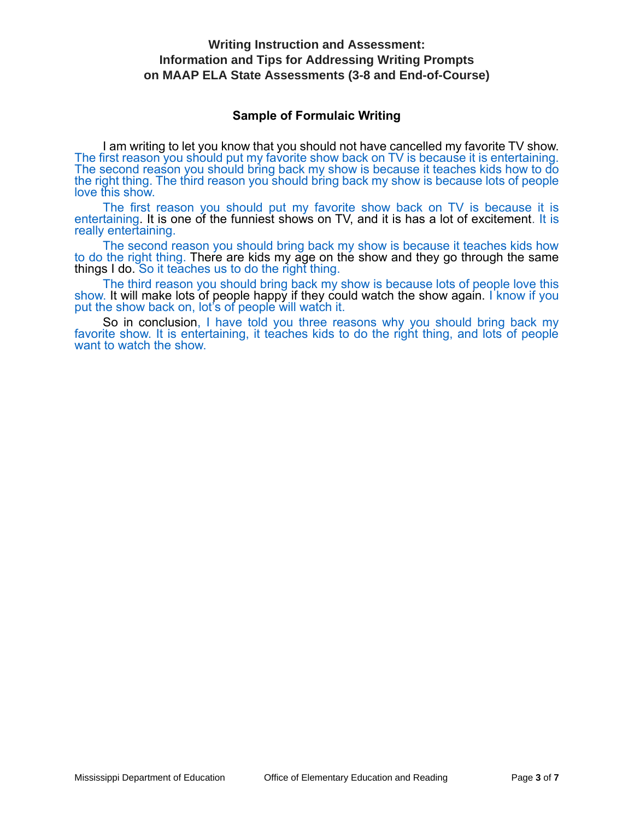### **Sample of Formulaic Writing**

I am writing to let you know that you should not have cancelled my favorite TV show. The first reason you should put my favorite show back on TV is because it is entertaining. The second reason you should bring back my show is because it teaches kids how to do the right thing. The third reason you should bring back my show is because lots of people love this show.

The first reason you should put my favorite show back on TV is because it is entertaining. It is one of the funniest shows on TV, and it is has a lot of excitement. It is really entertaining.

The second reason you should bring back my show is because it teaches kids how to do the right thing. There are kids my age on the show and they go through the same things I do. So it teaches us to do the right thing.

The third reason you should bring back my show is because lots of people love this show. It will make lots of people happy if they could watch the show again. I know if you put the show back on, lot's of people will watch it.

So in conclusion, I have told you three reasons why you should bring back my favorite show. It is entertaining, it teaches kids to do the right thing, and lots of people want to watch the show.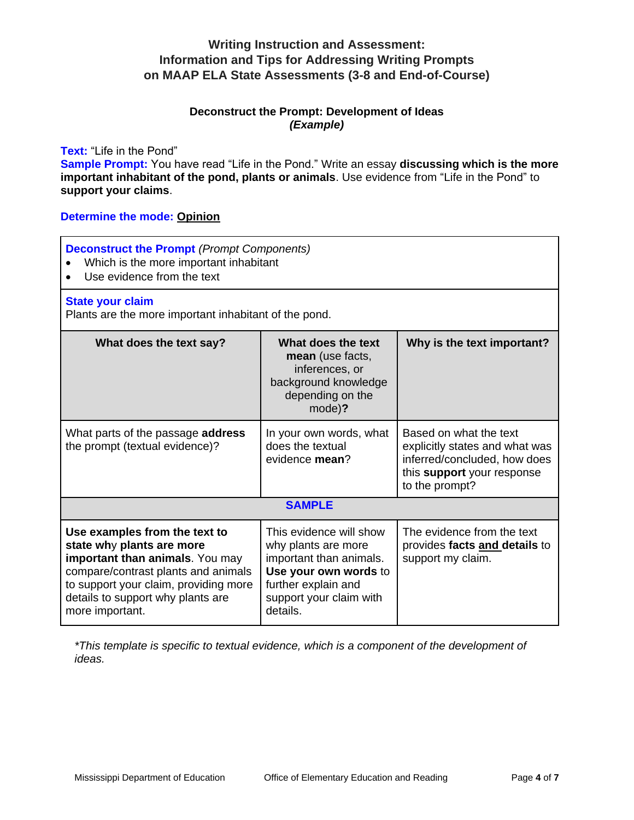### **Deconstruct the Prompt: Development of Ideas**  *(Example)*

### **Text:** "Life in the Pond"

**Sample Prompt:** You have read "Life in the Pond." Write an essay **discussing which is the more important inhabitant of the pond, plants or animals**. Use evidence from "Life in the Pond" to **support your claims**.

### **Determine the mode: Opinion**

#### **Deconstruct the Prompt** *(Prompt Components)*

- Which is the more important inhabitant
- Use evidence from the text

#### **State your claim**

Plants are the more important inhabitant of the pond.

| What does the text say?                                                                                                                                                                                                                       | What does the text<br><b>mean</b> (use facts,<br>inferences, or<br>background knowledge<br>depending on the<br>mode)?                                            | Why is the text important?                                                                                                               |  |  |
|-----------------------------------------------------------------------------------------------------------------------------------------------------------------------------------------------------------------------------------------------|------------------------------------------------------------------------------------------------------------------------------------------------------------------|------------------------------------------------------------------------------------------------------------------------------------------|--|--|
| What parts of the passage <b>address</b><br>the prompt (textual evidence)?                                                                                                                                                                    | In your own words, what<br>does the textual<br>evidence mean?                                                                                                    | Based on what the text<br>explicitly states and what was<br>inferred/concluded, how does<br>this support your response<br>to the prompt? |  |  |
| <b>SAMPLE</b>                                                                                                                                                                                                                                 |                                                                                                                                                                  |                                                                                                                                          |  |  |
| Use examples from the text to<br>state why plants are more<br><b>important than animals</b> . You may<br>compare/contrast plants and animals<br>to support your claim, providing more<br>details to support why plants are<br>more important. | This evidence will show<br>why plants are more<br>important than animals.<br>Use your own words to<br>further explain and<br>support your claim with<br>details. | The evidence from the text<br>provides facts and details to<br>support my claim.                                                         |  |  |

*\*This template is specific to textual evidence, which is a component of the development of ideas.*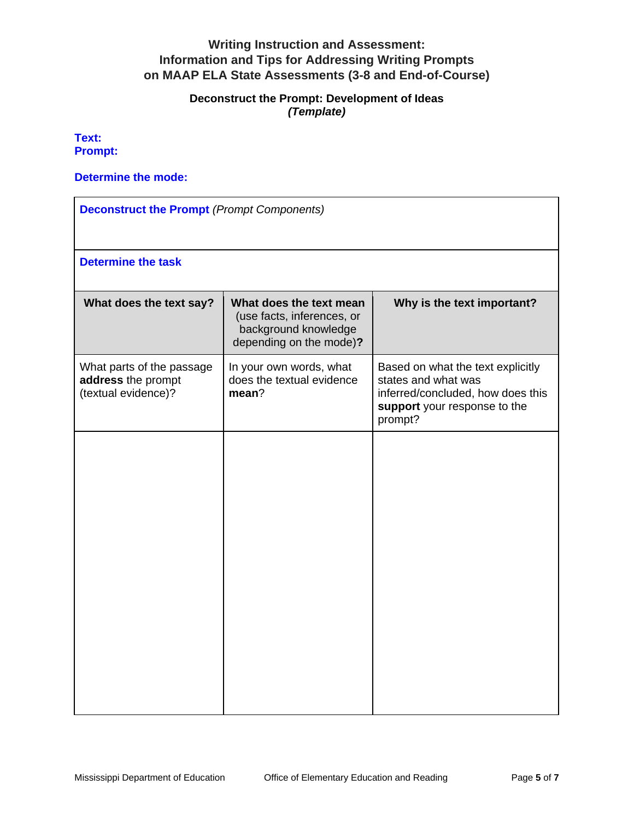## **Deconstruct the Prompt: Development of Ideas** *(Template)*

**Text: Prompt:** 

#### **Determine the mode:**

| <b>Deconstruct the Prompt (Prompt Components)</b>                      |                                                                                                          |                                                                                                                                          |  |  |
|------------------------------------------------------------------------|----------------------------------------------------------------------------------------------------------|------------------------------------------------------------------------------------------------------------------------------------------|--|--|
| <b>Determine the task</b>                                              |                                                                                                          |                                                                                                                                          |  |  |
| What does the text say?                                                | What does the text mean<br>(use facts, inferences, or<br>background knowledge<br>depending on the mode)? | Why is the text important?                                                                                                               |  |  |
| What parts of the passage<br>address the prompt<br>(textual evidence)? | In your own words, what<br>does the textual evidence<br>mean?                                            | Based on what the text explicitly<br>states and what was<br>inferred/concluded, how does this<br>support your response to the<br>prompt? |  |  |
|                                                                        |                                                                                                          |                                                                                                                                          |  |  |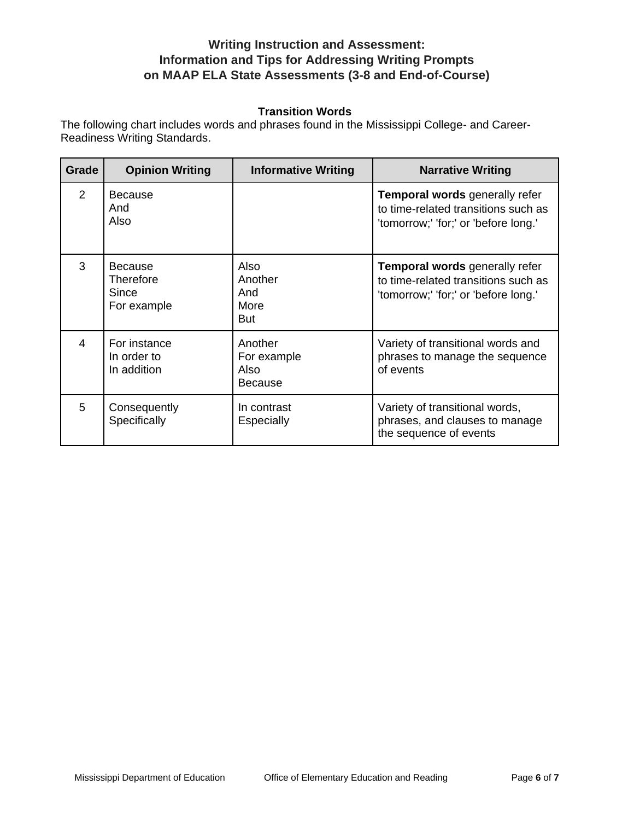### **Transition Words**

The following chart includes words and phrases found in the Mississippi College- and Career-Readiness Writing Standards.

| Grade | <b>Opinion Writing</b>                              | <b>Informative Writing</b>                       | <b>Narrative Writing</b>                                                                                             |
|-------|-----------------------------------------------------|--------------------------------------------------|----------------------------------------------------------------------------------------------------------------------|
| 2     | <b>Because</b><br>And<br>Also                       |                                                  | <b>Temporal words generally refer</b><br>to time-related transitions such as<br>'tomorrow;' 'for;' or 'before long.' |
| 3     | <b>Because</b><br>Therefore<br>Since<br>For example | Also<br>Another<br>And<br>More<br>But            | <b>Temporal words generally refer</b><br>to time-related transitions such as<br>'tomorrow;' 'for;' or 'before long.' |
| 4     | For instance<br>In order to<br>In addition          | Another<br>For example<br>Also<br><b>Because</b> | Variety of transitional words and<br>phrases to manage the sequence<br>of events                                     |
| 5     | Consequently<br>Specifically                        | In contrast<br>Especially                        | Variety of transitional words,<br>phrases, and clauses to manage<br>the sequence of events                           |